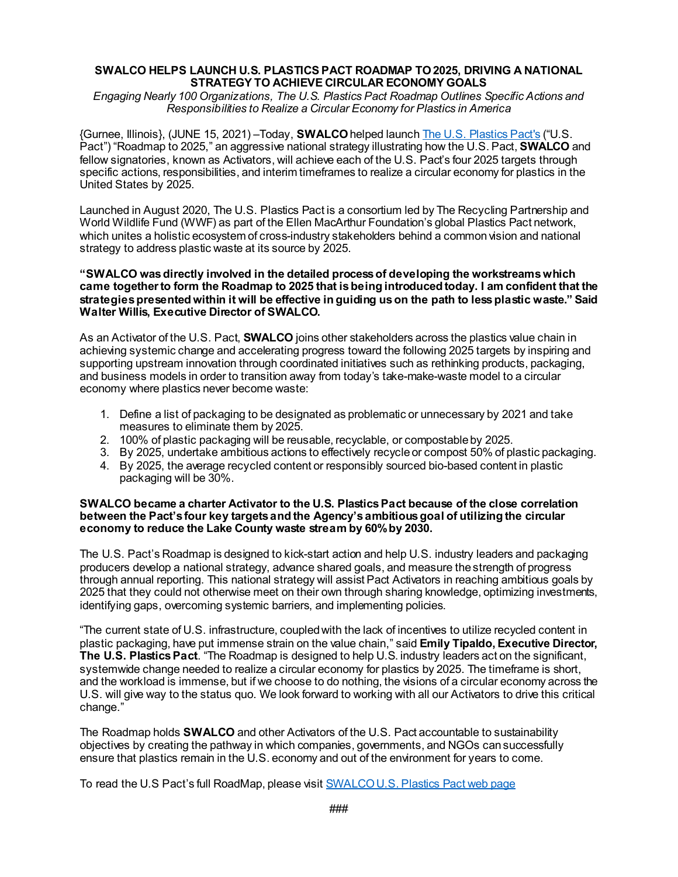### **SWALCO HELPS LAUNCH U.S. PLASTICS PACT ROADMAP TO 2025, DRIVING A NATIONAL STRATEGY TO ACHIEVE CIRCULAR ECONOMY GOALS**

*Engaging Nearly 100 Organizations, The U.S. Plastics Pact Roadmap Outlines Specific Actions and Responsibilities to Realize a Circular Economy for Plastics in America*

{Gurnee, Illinois}, (JUNE 15, 2021) –Today, **SWALCO** helped launch [The U.S. Plastics Pact's](https://usplasticspact.org/) ("U.S. Pact") "Roadmap to 2025," an aggressive national strategy illustrating how the U.S. Pact, **SWALCO** and fellow signatories, known as Activators, will achieve each of the U.S. Pact's four 2025 targets through specific actions, responsibilities, and interim timeframes to realize a circular economy for plastics in the United States by 2025.

Launched in August 2020, The U.S. Plastics Pact is a consortium led by The Recycling Partnership and World Wildlife Fund (WWF) as part of the Ellen MacArthur Foundation's global Plastics Pact network, which unites a holistic ecosystem of cross-industry stakeholders behind a common vision and national strategy to address plastic waste at its source by 2025.

### **"SWALCO wasdirectly involved in the detailed process of developing the workstreamswhich came together to form the Roadmap to 2025 that is being introduced today. I am confident that the strategies presented within it will be effective in guiding us on the path to less plastic waste." Said Walter Willis, Executive Director of SWALCO.**

As an Activator of the U.S. Pact, **SWALCO** joins other stakeholders across the plastics value chain in achieving systemic change and accelerating progress toward the following 2025 targets by inspiring and supporting upstream innovation through coordinated initiatives such as rethinking products, packaging, and business models in order to transition away from today's take-make-waste model to a circular economy where plastics never become waste:

- 1. Define a list of packaging to be designated as problematic or unnecessary by 2021 and take measures to eliminate them by 2025.
- 2. 100% of plastic packaging will be reusable, recyclable, or compostable by 2025.
- 3. By 2025, undertake ambitious actions to effectively recycle or compost 50% of plastic packaging.
- 4. By 2025, the average recycled content or responsibly sourced bio-based content in plastic packaging will be 30%.

### **SWALCO became a charter Activator to the U.S. Plastics Pact because of the close correlation between the Pact's four key targets and the Agency's ambitious goal of utilizing the circular economy to reduce the Lake County waste stream by 60% by 2030.**

The U.S. Pact's Roadmap is designed to kick-start action and help U.S. industry leaders and packaging producers develop a national strategy, advance shared goals, and measure the strength of progress through annual reporting. This national strategy will assist Pact Activators in reaching ambitious goals by 2025 that they could not otherwise meet on their own through sharing knowledge, optimizing investments, identifying gaps, overcoming systemic barriers, and implementing policies.

"The current state of U.S. infrastructure, coupled with the lack of incentives to utilize recycled content in plastic packaging, have put immense strain on the value chain," said **Emily Tipaldo, Executive Director, The U.S. Plastics Pact**. "The Roadmap is designed to help U.S. industry leaders act on the significant, systemwide change needed to realize a circular economy for plastics by 2025. The timeframe is short, and the workload is immense, but if we choose to do nothing, the visions of a circular economy across the U.S. will give way to the status quo. We look forward to working with all our Activators to drive this critical change."

The Roadmap holds **SWALCO** and other Activators of the U.S. Pact accountable to sustainability objectives by creating the pathway in which companies, governments, and NGOs can successfully ensure that plastics remain in the U.S. economy and out of the environment for years to come.

To read the U.S Pact's full RoadMap, please visi[t SWALCO U.S. Plastics Pact web page](http://www.swalco.org/450/US-Plastics-Pact)